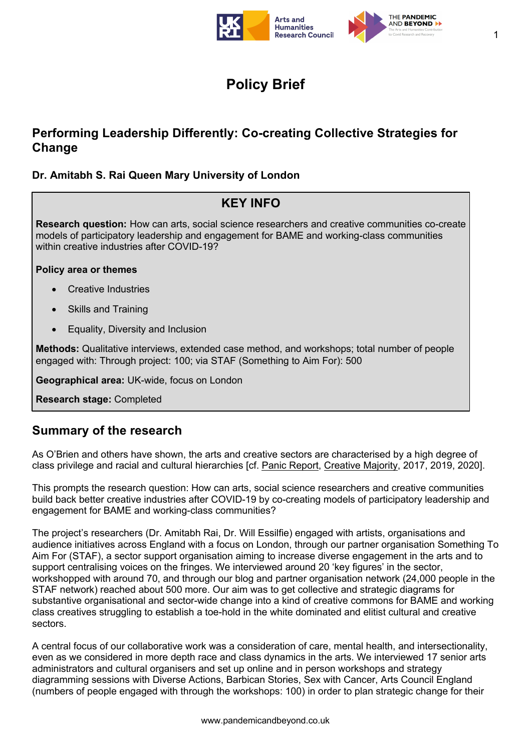

1

# **Policy Brief**

## **Performing Leadership Differently: Co-creating Collective Strategies for Change**

#### **Dr. Amitabh S. Rai Queen Mary University of London**

## **KEY INFO**

**Research question:** How can arts, social science researchers and creative communities co-create models of participatory leadership and engagement for BAME and working-class communities within creative industries after COVID-19?

#### **Policy area or themes**

- Creative Industries
- Skills and Training
- Equality, Diversity and Inclusion

**Methods:** Qualitative interviews, extended case method, and workshops; total number of people engaged with: Through project: 100; via STAF (Something to Aim For): 500

**Geographical area:** UK-wide, focus on London

**Research stage:** Completed

### **Summary of the research**

As O'Brien and others have shown, the arts and creative sectors are characterised by a high degree of class privilege and racial and cultural hierarchies [cf. Panic Report, Creative Majority, 2017, 2019, 2020].

This prompts the research question: How can arts, social science researchers and creative communities build back better creative industries after COVID-19 by co-creating models of participatory leadership and engagement for BAME and working-class communities?

The project's researchers (Dr. Amitabh Rai, Dr. Will Essilfie) engaged with artists, organisations and audience initiatives across England with a focus on London, through our partner organisation Something To Aim For (STAF), a sector support organisation aiming to increase diverse engagement in the arts and to support centralising voices on the fringes. We interviewed around 20 'key figures' in the sector, workshopped with around 70, and through our blog and partner organisation network (24,000 people in the STAF network) reached about 500 more. Our aim was to get collective and strategic diagrams for substantive organisational and sector-wide change into a kind of creative commons for BAME and working class creatives struggling to establish a toe-hold in the white dominated and elitist cultural and creative sectors.

A central focus of our collaborative work was a consideration of care, mental health, and intersectionality, even as we considered in more depth race and class dynamics in the arts. We interviewed 17 senior arts administrators and cultural organisers and set up online and in person workshops and strategy diagramming sessions with Diverse Actions, Barbican Stories, Sex with Cancer, Arts Council England (numbers of people engaged with through the workshops: 100) in order to plan strategic change for their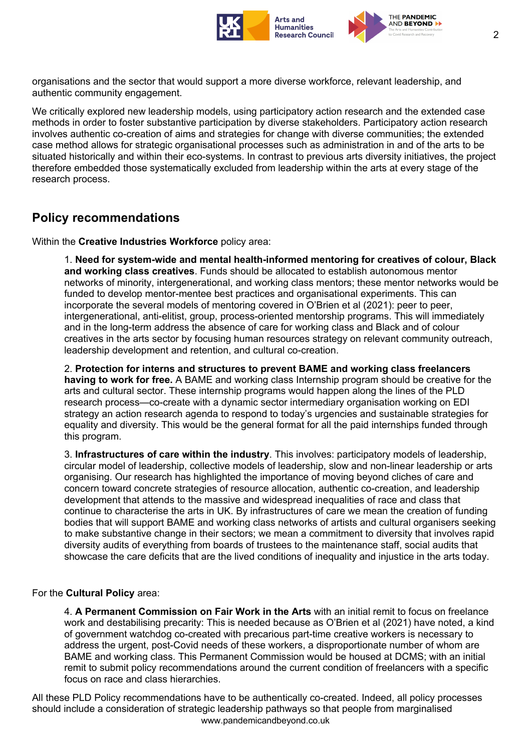

organisations and the sector that would support a more diverse workforce, relevant leadership, and authentic community engagement.

We critically explored new leadership models, using participatory action research and the extended case methods in order to foster substantive participation by diverse stakeholders. Participatory action research involves authentic co-creation of aims and strategies for change with diverse communities; the extended case method allows for strategic organisational processes such as administration in and of the arts to be situated historically and within their eco-systems. In contrast to previous arts diversity initiatives, the project therefore embedded those systematically excluded from leadership within the arts at every stage of the research process.

### **Policy recommendations**

Within the **Creative Industries Workforce** policy area:

1. **Need for system-wide and mental health-informed mentoring for creatives of colour, Black and working class creatives**. Funds should be allocated to establish autonomous mentor networks of minority, intergenerational, and working class mentors; these mentor networks would be funded to develop mentor-mentee best practices and organisational experiments. This can incorporate the several models of mentoring covered in O'Brien et al (2021): peer to peer, intergenerational, anti-elitist, group, process-oriented mentorship programs. This will immediately and in the long-term address the absence of care for working class and Black and of colour creatives in the arts sector by focusing human resources strategy on relevant community outreach, leadership development and retention, and cultural co-creation.

2. **Protection for interns and structures to prevent BAME and working class freelancers having to work for free.** A BAME and working class Internship program should be creative for the arts and cultural sector. These internship programs would happen along the lines of the PLD research process—co-create with a dynamic sector intermediary organisation working on EDI strategy an action research agenda to respond to today's urgencies and sustainable strategies for equality and diversity. This would be the general format for all the paid internships funded through this program.

3. **Infrastructures of care within the industry**. This involves: participatory models of leadership, circular model of leadership, collective models of leadership, slow and non-linear leadership or arts organising. Our research has highlighted the importance of moving beyond cliches of care and concern toward concrete strategies of resource allocation, authentic co-creation, and leadership development that attends to the massive and widespread inequalities of race and class that continue to characterise the arts in UK. By infrastructures of care we mean the creation of funding bodies that will support BAME and working class networks of artists and cultural organisers seeking to make substantive change in their sectors; we mean a commitment to diversity that involves rapid diversity audits of everything from boards of trustees to the maintenance staff, social audits that showcase the care deficits that are the lived conditions of inequality and injustice in the arts today.

#### For the **Cultural Policy** area:

4. **A Permanent Commission on Fair Work in the Arts** with an initial remit to focus on freelance work and destabilising precarity: This is needed because as O'Brien et al (2021) have noted, a kind of government watchdog co-created with precarious part-time creative workers is necessary to address the urgent, post-Covid needs of these workers, a disproportionate number of whom are BAME and working class. This Permanent Commission would be housed at DCMS; with an initial remit to submit policy recommendations around the current condition of freelancers with a specific focus on race and class hierarchies.

www.pandemicandbeyond.co.uk All these PLD Policy recommendations have to be authentically co-created. Indeed, all policy processes should include a consideration of strategic leadership pathways so that people from marginalised